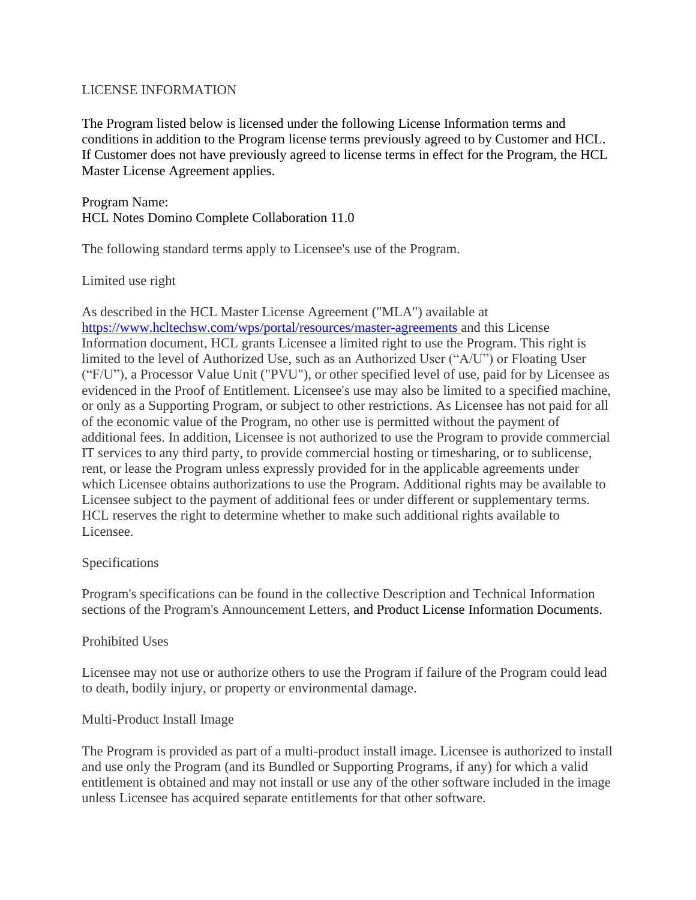# LICENSE INFORMATION

The Program listed below is licensed under the following License Information terms and conditions in addition to the Program license terms previously agreed to by Customer and HCL. If Customer does not have previously agreed to license terms in effect for the Program, the HCL Master License Agreement applies.

Program Name: HCL Notes Domino Complete Collaboration 11.0

The following standard terms apply to Licensee's use of the Program.

Limited use right

As described in the HCL Master License Agreement ("MLA") available at <https://www.hcltechsw.com/wps/portal/resources/master-agreements> and this License Information document, HCL grants Licensee a limited right to use the Program. This right is limited to the level of Authorized Use, such as an Authorized User ("A/U") or Floating User ("F/U"), a Processor Value Unit ("PVU"), or other specified level of use, paid for by Licensee as evidenced in the Proof of Entitlement. Licensee's use may also be limited to a specified machine, or only as a Supporting Program, or subject to other restrictions. As Licensee has not paid for all of the economic value of the Program, no other use is permitted without the payment of additional fees. In addition, Licensee is not authorized to use the Program to provide commercial IT services to any third party, to provide commercial hosting or timesharing, or to sublicense, rent, or lease the Program unless expressly provided for in the applicable agreements under which Licensee obtains authorizations to use the Program. Additional rights may be available to Licensee subject to the payment of additional fees or under different or supplementary terms. HCL reserves the right to determine whether to make such additional rights available to Licensee.

### Specifications

Program's specifications can be found in the collective Description and Technical Information sections of the Program's Announcement Letters, and Product License Information Documents.

### Prohibited Uses

Licensee may not use or authorize others to use the Program if failure of the Program could lead to death, bodily injury, or property or environmental damage.

### Multi-Product Install Image

The Program is provided as part of a multi-product install image. Licensee is authorized to install and use only the Program (and its Bundled or Supporting Programs, if any) for which a valid entitlement is obtained and may not install or use any of the other software included in the image unless Licensee has acquired separate entitlements for that other software.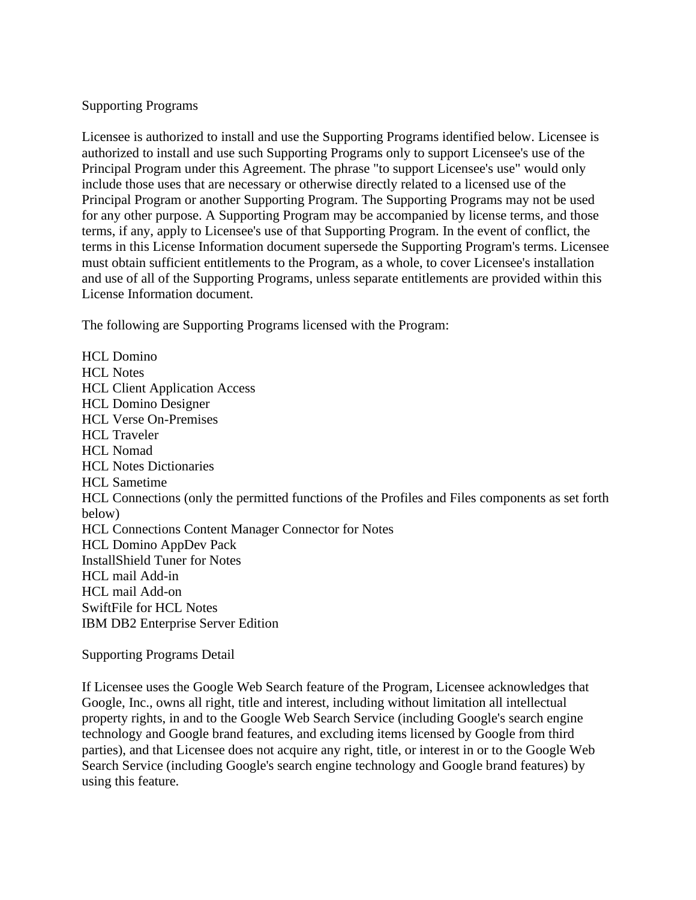### Supporting Programs

Licensee is authorized to install and use the Supporting Programs identified below. Licensee is authorized to install and use such Supporting Programs only to support Licensee's use of the Principal Program under this Agreement. The phrase "to support Licensee's use" would only include those uses that are necessary or otherwise directly related to a licensed use of the Principal Program or another Supporting Program. The Supporting Programs may not be used for any other purpose. A Supporting Program may be accompanied by license terms, and those terms, if any, apply to Licensee's use of that Supporting Program. In the event of conflict, the terms in this License Information document supersede the Supporting Program's terms. Licensee must obtain sufficient entitlements to the Program, as a whole, to cover Licensee's installation and use of all of the Supporting Programs, unless separate entitlements are provided within this License Information document.

The following are Supporting Programs licensed with the Program:

HCL Domino HCL Notes HCL Client Application Access HCL Domino Designer HCL Verse On-Premises HCL Traveler HCL Nomad HCL Notes Dictionaries HCL Sametime HCL Connections (only the permitted functions of the Profiles and Files components as set forth below) HCL Connections Content Manager Connector for Notes HCL Domino AppDev Pack InstallShield Tuner for Notes HCL mail Add-in HCL mail Add-on SwiftFile for HCL Notes IBM DB2 Enterprise Server Edition

Supporting Programs Detail

If Licensee uses the Google Web Search feature of the Program, Licensee acknowledges that Google, Inc., owns all right, title and interest, including without limitation all intellectual property rights, in and to the Google Web Search Service (including Google's search engine technology and Google brand features, and excluding items licensed by Google from third parties), and that Licensee does not acquire any right, title, or interest in or to the Google Web Search Service (including Google's search engine technology and Google brand features) by using this feature.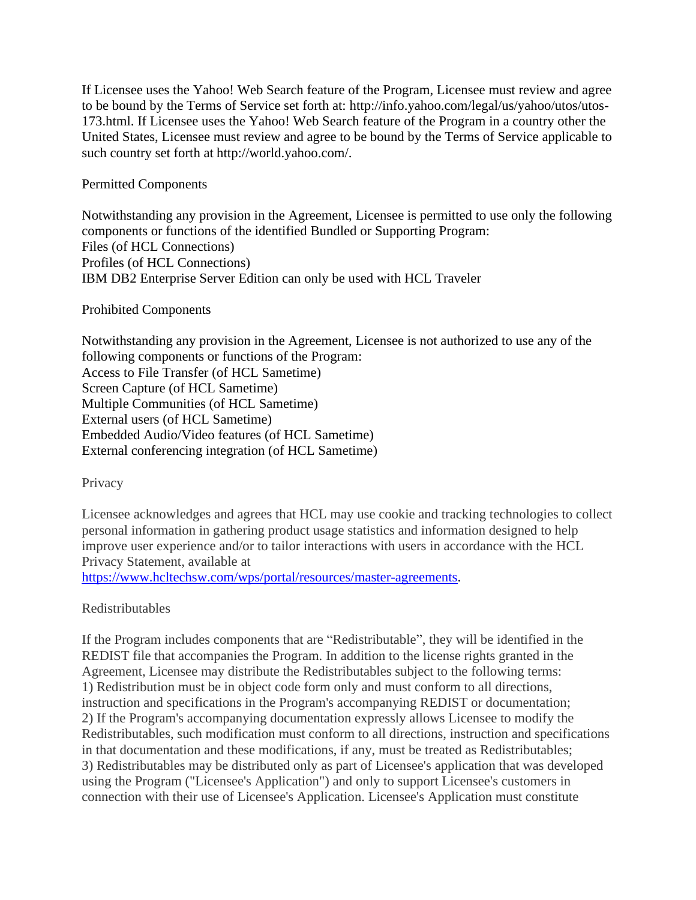If Licensee uses the Yahoo! Web Search feature of the Program, Licensee must review and agree to be bound by the Terms of Service set forth at: http://info.yahoo.com/legal/us/yahoo/utos/utos-173.html. If Licensee uses the Yahoo! Web Search feature of the Program in a country other the United States, Licensee must review and agree to be bound by the Terms of Service applicable to such country set forth at http://world.yahoo.com/.

Permitted Components

Notwithstanding any provision in the Agreement, Licensee is permitted to use only the following components or functions of the identified Bundled or Supporting Program: Files (of HCL Connections) Profiles (of HCL Connections) IBM DB2 Enterprise Server Edition can only be used with HCL Traveler

#### Prohibited Components

Notwithstanding any provision in the Agreement, Licensee is not authorized to use any of the following components or functions of the Program: Access to File Transfer (of HCL Sametime) Screen Capture (of HCL Sametime) Multiple Communities (of HCL Sametime) External users (of HCL Sametime) Embedded Audio/Video features (of HCL Sametime) External conferencing integration (of HCL Sametime)

**Privacy** 

Licensee acknowledges and agrees that HCL may use cookie and tracking technologies to collect personal information in gathering product usage statistics and information designed to help improve user experience and/or to tailor interactions with users in accordance with the HCL Privacy Statement, available at

[https://www.hcltechsw.com/wps/portal/resources/master-agreements.](https://www.hcltechsw.com/wps/portal/resources/master-agreements)

### Redistributables

If the Program includes components that are "Redistributable", they will be identified in the REDIST file that accompanies the Program. In addition to the license rights granted in the Agreement, Licensee may distribute the Redistributables subject to the following terms: 1) Redistribution must be in object code form only and must conform to all directions, instruction and specifications in the Program's accompanying REDIST or documentation; 2) If the Program's accompanying documentation expressly allows Licensee to modify the Redistributables, such modification must conform to all directions, instruction and specifications in that documentation and these modifications, if any, must be treated as Redistributables; 3) Redistributables may be distributed only as part of Licensee's application that was developed using the Program ("Licensee's Application") and only to support Licensee's customers in connection with their use of Licensee's Application. Licensee's Application must constitute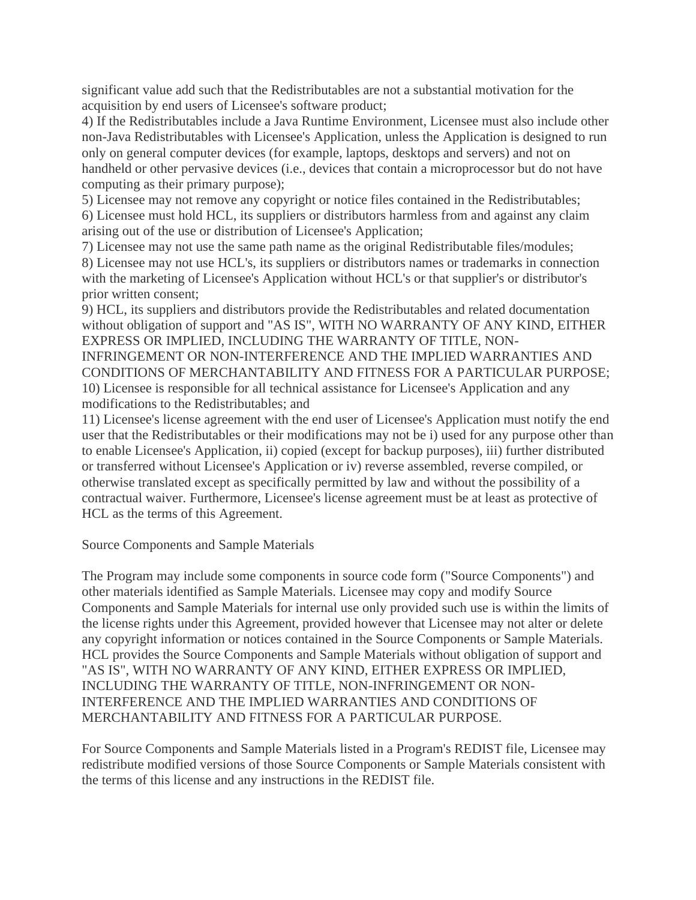significant value add such that the Redistributables are not a substantial motivation for the acquisition by end users of Licensee's software product;

4) If the Redistributables include a Java Runtime Environment, Licensee must also include other non-Java Redistributables with Licensee's Application, unless the Application is designed to run only on general computer devices (for example, laptops, desktops and servers) and not on handheld or other pervasive devices (i.e., devices that contain a microprocessor but do not have computing as their primary purpose);

5) Licensee may not remove any copyright or notice files contained in the Redistributables; 6) Licensee must hold HCL, its suppliers or distributors harmless from and against any claim arising out of the use or distribution of Licensee's Application;

7) Licensee may not use the same path name as the original Redistributable files/modules;

8) Licensee may not use HCL's, its suppliers or distributors names or trademarks in connection with the marketing of Licensee's Application without HCL's or that supplier's or distributor's prior written consent;

9) HCL, its suppliers and distributors provide the Redistributables and related documentation without obligation of support and "AS IS", WITH NO WARRANTY OF ANY KIND, EITHER EXPRESS OR IMPLIED, INCLUDING THE WARRANTY OF TITLE, NON-

INFRINGEMENT OR NON-INTERFERENCE AND THE IMPLIED WARRANTIES AND CONDITIONS OF MERCHANTABILITY AND FITNESS FOR A PARTICULAR PURPOSE; 10) Licensee is responsible for all technical assistance for Licensee's Application and any modifications to the Redistributables; and

11) Licensee's license agreement with the end user of Licensee's Application must notify the end user that the Redistributables or their modifications may not be i) used for any purpose other than to enable Licensee's Application, ii) copied (except for backup purposes), iii) further distributed or transferred without Licensee's Application or iv) reverse assembled, reverse compiled, or otherwise translated except as specifically permitted by law and without the possibility of a contractual waiver. Furthermore, Licensee's license agreement must be at least as protective of HCL as the terms of this Agreement.

Source Components and Sample Materials

The Program may include some components in source code form ("Source Components") and other materials identified as Sample Materials. Licensee may copy and modify Source Components and Sample Materials for internal use only provided such use is within the limits of the license rights under this Agreement, provided however that Licensee may not alter or delete any copyright information or notices contained in the Source Components or Sample Materials. HCL provides the Source Components and Sample Materials without obligation of support and "AS IS", WITH NO WARRANTY OF ANY KIND, EITHER EXPRESS OR IMPLIED, INCLUDING THE WARRANTY OF TITLE, NON-INFRINGEMENT OR NON-INTERFERENCE AND THE IMPLIED WARRANTIES AND CONDITIONS OF MERCHANTABILITY AND FITNESS FOR A PARTICULAR PURPOSE.

For Source Components and Sample Materials listed in a Program's REDIST file, Licensee may redistribute modified versions of those Source Components or Sample Materials consistent with the terms of this license and any instructions in the REDIST file.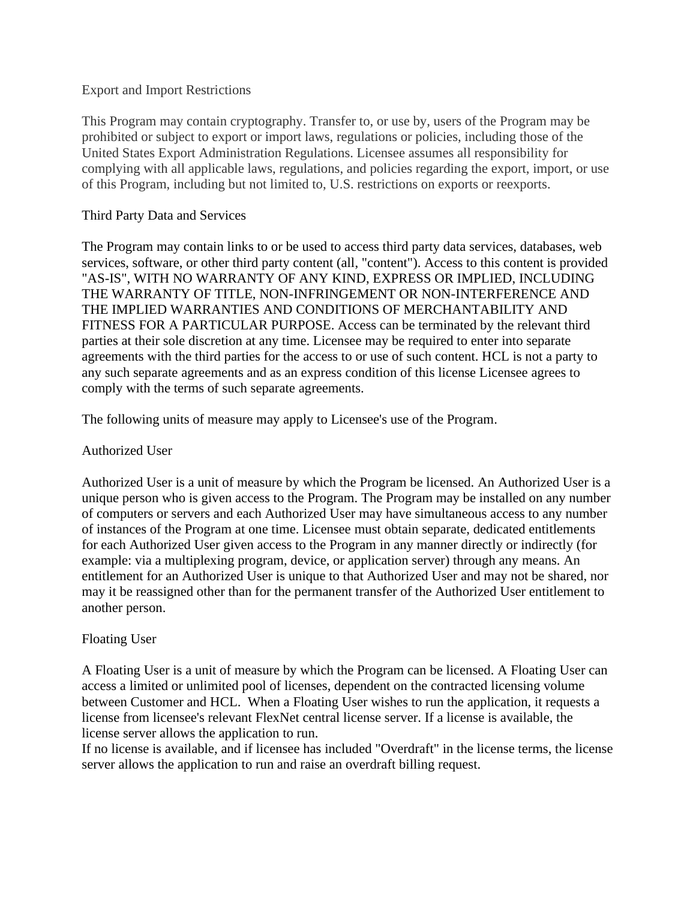### Export and Import Restrictions

This Program may contain cryptography. Transfer to, or use by, users of the Program may be prohibited or subject to export or import laws, regulations or policies, including those of the United States Export Administration Regulations. Licensee assumes all responsibility for complying with all applicable laws, regulations, and policies regarding the export, import, or use of this Program, including but not limited to, U.S. restrictions on exports or reexports.

# Third Party Data and Services

The Program may contain links to or be used to access third party data services, databases, web services, software, or other third party content (all, "content"). Access to this content is provided "AS-IS", WITH NO WARRANTY OF ANY KIND, EXPRESS OR IMPLIED, INCLUDING THE WARRANTY OF TITLE, NON-INFRINGEMENT OR NON-INTERFERENCE AND THE IMPLIED WARRANTIES AND CONDITIONS OF MERCHANTABILITY AND FITNESS FOR A PARTICULAR PURPOSE. Access can be terminated by the relevant third parties at their sole discretion at any time. Licensee may be required to enter into separate agreements with the third parties for the access to or use of such content. HCL is not a party to any such separate agreements and as an express condition of this license Licensee agrees to comply with the terms of such separate agreements.

The following units of measure may apply to Licensee's use of the Program.

# Authorized User

Authorized User is a unit of measure by which the Program be licensed. An Authorized User is a unique person who is given access to the Program. The Program may be installed on any number of computers or servers and each Authorized User may have simultaneous access to any number of instances of the Program at one time. Licensee must obtain separate, dedicated entitlements for each Authorized User given access to the Program in any manner directly or indirectly (for example: via a multiplexing program, device, or application server) through any means. An entitlement for an Authorized User is unique to that Authorized User and may not be shared, nor may it be reassigned other than for the permanent transfer of the Authorized User entitlement to another person.

### Floating User

A Floating User is a unit of measure by which the Program can be licensed. A Floating User can access a limited or unlimited pool of licenses, dependent on the contracted licensing volume between Customer and HCL. When a Floating User wishes to run the application, it requests a license from licensee's relevant FlexNet central license server. If a license is available, the license server allows the application to run.

If no license is available, and if licensee has included "Overdraft" in the license terms, the license server allows the application to run and raise an overdraft billing request.